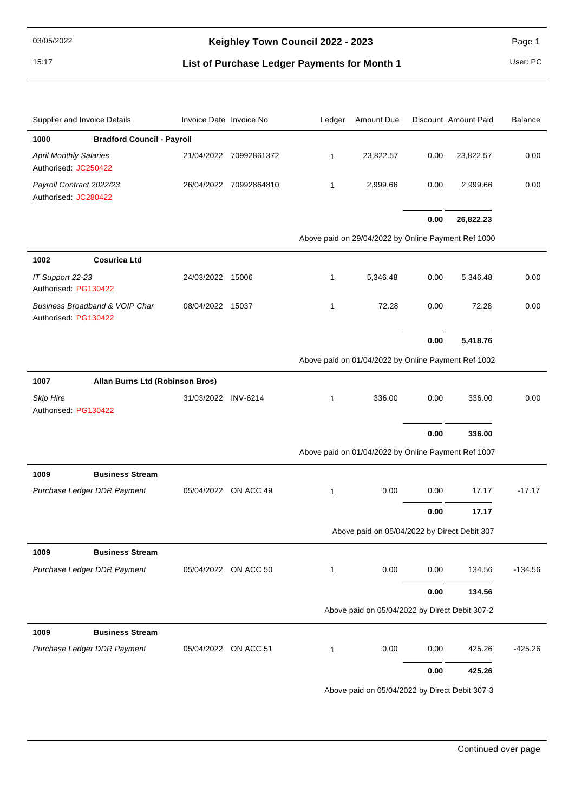15:17 **List of Purchase Ledger Payments for Month 1** User: PC

| Supplier and Invoice Details                           | Invoice Date Invoice No |                        | Ledger       | Amount Due                                          |          | Discount Amount Paid | <b>Balance</b> |
|--------------------------------------------------------|-------------------------|------------------------|--------------|-----------------------------------------------------|----------|----------------------|----------------|
| <b>Bradford Council - Payroll</b><br>1000              |                         |                        |              |                                                     |          |                      |                |
| <b>April Monthly Salaries</b><br>Authorised: JC250422  |                         | 21/04/2022 70992861372 | $\mathbf{1}$ | 23,822.57                                           | 0.00     | 23,822.57            | 0.00           |
| Payroll Contract 2022/23<br>Authorised: JC280422       |                         | 26/04/2022 70992864810 | 1            | 2,999.66                                            | 0.00     | 2,999.66             | 0.00           |
|                                                        |                         |                        |              |                                                     | 0.00     | 26,822.23            |                |
|                                                        |                         |                        |              | Above paid on 29/04/2022 by Online Payment Ref 1000 |          |                      |                |
| <b>Cosurica Ltd</b><br>1002                            |                         |                        |              |                                                     |          |                      |                |
| IT Support 22-23<br>Authorised: PG130422               | 24/03/2022 15006        |                        | 1            | 5,346.48                                            | 0.00     | 5,346.48             | 0.00           |
| Business Broadband & VOIP Char<br>Authorised: PG130422 | 08/04/2022 15037        |                        | 1            | 72.28                                               | 0.00     | 72.28                | 0.00           |
|                                                        |                         |                        |              |                                                     | 0.00     | 5,418.76             |                |
|                                                        |                         |                        |              | Above paid on 01/04/2022 by Online Payment Ref 1002 |          |                      |                |
| Allan Burns Ltd (Robinson Bros)<br>1007                |                         |                        |              |                                                     |          |                      |                |
| <b>Skip Hire</b><br>Authorised: PG130422               | 31/03/2022 INV-6214     |                        | $\mathbf{1}$ | 336.00                                              | 0.00     | 336.00               | 0.00           |
|                                                        |                         |                        |              |                                                     | 0.00     | 336.00               |                |
|                                                        |                         |                        |              | Above paid on 01/04/2022 by Online Payment Ref 1007 |          |                      |                |
| 1009<br><b>Business Stream</b>                         |                         |                        |              |                                                     |          |                      |                |
| Purchase Ledger DDR Payment                            | 05/04/2022              | ON ACC 49              | $\mathbf{1}$ | 0.00                                                | 0.00     | 17.17                | $-17.17$       |
|                                                        |                         |                        |              |                                                     | 0.00     | 17.17                |                |
|                                                        |                         |                        |              | Above paid on 05/04/2022 by Direct Debit 307        |          |                      |                |
| <b>Business Stream</b><br>1009                         |                         |                        |              |                                                     |          |                      |                |
| Purchase Ledger DDR Payment                            |                         | 05/04/2022 ON ACC 50   | 1            | 0.00                                                | 0.00     | 134.56               | $-134.56$      |
|                                                        |                         |                        |              |                                                     | 0.00     | 134.56               |                |
|                                                        |                         |                        |              | Above paid on 05/04/2022 by Direct Debit 307-2      |          |                      |                |
| 1009<br><b>Business Stream</b>                         |                         |                        |              |                                                     |          |                      |                |
| Purchase Ledger DDR Payment                            | 05/04/2022 ON ACC 51    |                        | 1            | 0.00                                                | 0.00     | 425.26               | $-425.26$      |
|                                                        |                         |                        |              |                                                     | $0.00\,$ | 425.26               |                |

Above paid on 05/04/2022 by Direct Debit 307-3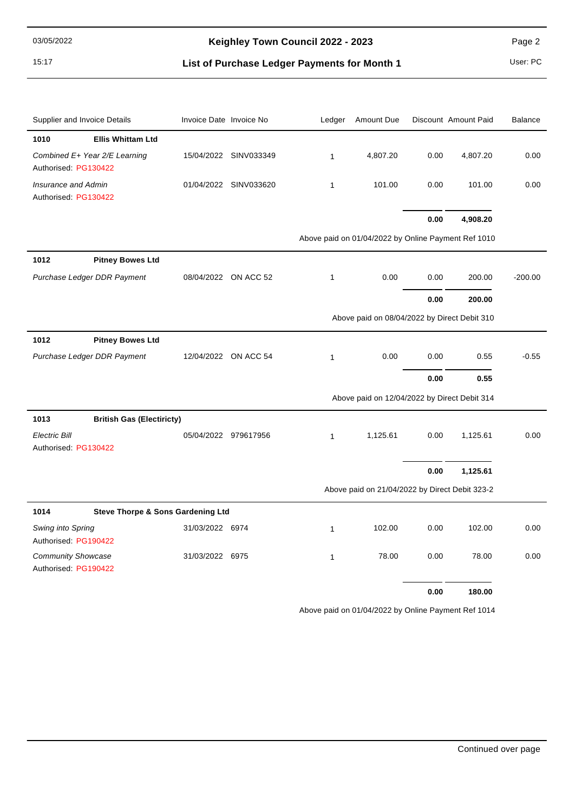15:17 **List of Purchase Ledger Payments for Month 1** User: PC

| Supplier and Invoice Details                          | Invoice Date Invoice No |                       | Ledger       | Amount Due                                          |      | Discount Amount Paid | <b>Balance</b> |
|-------------------------------------------------------|-------------------------|-----------------------|--------------|-----------------------------------------------------|------|----------------------|----------------|
| 1010<br><b>Ellis Whittam Ltd</b>                      |                         |                       |              |                                                     |      |                      |                |
| Combined E+ Year 2/E Learning<br>Authorised: PG130422 |                         | 15/04/2022 SINV033349 | $\mathbf{1}$ | 4,807.20                                            | 0.00 | 4,807.20             | 0.00           |
| <b>Insurance and Admin</b><br>Authorised: PG130422    |                         | 01/04/2022 SINV033620 | $\mathbf{1}$ | 101.00                                              | 0.00 | 101.00               | 0.00           |
|                                                       |                         |                       |              |                                                     | 0.00 | 4,908.20             |                |
|                                                       |                         |                       |              | Above paid on 01/04/2022 by Online Payment Ref 1010 |      |                      |                |
| 1012<br><b>Pitney Bowes Ltd</b>                       |                         |                       |              |                                                     |      |                      |                |
| Purchase Ledger DDR Payment                           |                         | 08/04/2022 ON ACC 52  | $\mathbf{1}$ | 0.00                                                | 0.00 | 200.00               | $-200.00$      |
|                                                       |                         |                       |              |                                                     | 0.00 | 200.00               |                |
|                                                       |                         |                       |              | Above paid on 08/04/2022 by Direct Debit 310        |      |                      |                |
| 1012<br><b>Pitney Bowes Ltd</b>                       |                         |                       |              |                                                     |      |                      |                |
| Purchase Ledger DDR Payment                           |                         | 12/04/2022 ON ACC 54  | $\mathbf{1}$ | 0.00                                                | 0.00 | 0.55                 | $-0.55$        |
|                                                       |                         |                       |              |                                                     | 0.00 | 0.55                 |                |
|                                                       |                         |                       |              | Above paid on 12/04/2022 by Direct Debit 314        |      |                      |                |
| <b>British Gas (Electiricty)</b><br>1013              |                         |                       |              |                                                     |      |                      |                |
| <b>Electric Bill</b><br>Authorised: PG130422          | 05/04/2022 979617956    |                       | $\mathbf{1}$ | 1,125.61                                            | 0.00 | 1,125.61             | 0.00           |
|                                                       |                         |                       |              |                                                     | 0.00 | 1,125.61             |                |
|                                                       |                         |                       |              | Above paid on 21/04/2022 by Direct Debit 323-2      |      |                      |                |
| 1014<br><b>Steve Thorpe &amp; Sons Gardening Ltd</b>  |                         |                       |              |                                                     |      |                      |                |
| Swing into Spring<br>Authorised: PG190422             | 31/03/2022 6974         |                       | $\mathbf{1}$ | 102.00                                              | 0.00 | 102.00               | 0.00           |
| Community Showcase<br>Authorised: PG190422            | 31/03/2022 6975         |                       | $\mathbf{1}$ | 78.00                                               | 0.00 | 78.00                | 0.00           |
|                                                       |                         |                       |              |                                                     | 0.00 | 180.00               |                |

Above paid on 01/04/2022 by Online Payment Ref 1014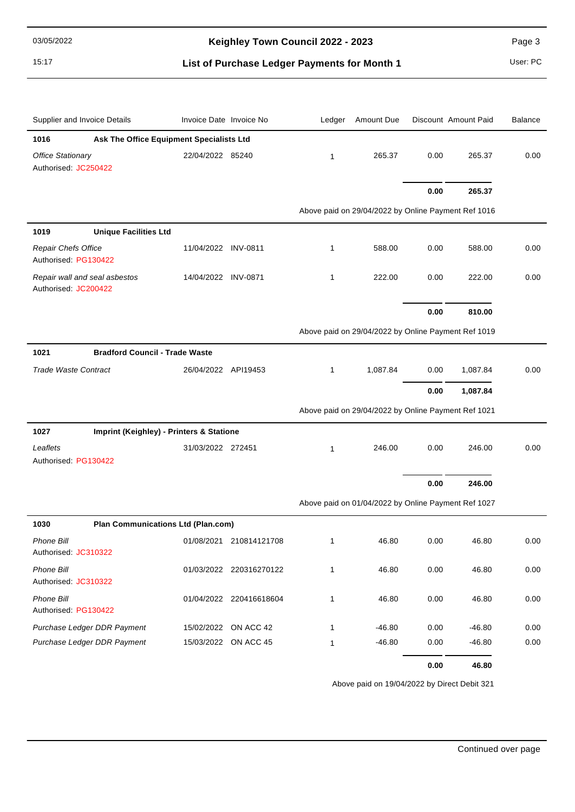15:17 **List of Purchase Ledger Payments for Month 1** User: PC

| Supplier and Invoice Details                          | Invoice Date Invoice No |                         | Ledger       | Amount Due                                          |      | Discount Amount Paid | <b>Balance</b> |
|-------------------------------------------------------|-------------------------|-------------------------|--------------|-----------------------------------------------------|------|----------------------|----------------|
| 1016<br>Ask The Office Equipment Specialists Ltd      |                         |                         |              |                                                     |      |                      |                |
| <b>Office Stationary</b><br>Authorised: JC250422      | 22/04/2022 85240        |                         | $\mathbf{1}$ | 265.37                                              | 0.00 | 265.37               | 0.00           |
|                                                       |                         |                         |              |                                                     | 0.00 | 265.37               |                |
|                                                       |                         |                         |              | Above paid on 29/04/2022 by Online Payment Ref 1016 |      |                      |                |
| <b>Unique Facilities Ltd</b><br>1019                  |                         |                         |              |                                                     |      |                      |                |
| Repair Chefs Office<br>Authorised: PG130422           | 11/04/2022 INV-0811     |                         | $\mathbf{1}$ | 588.00                                              | 0.00 | 588.00               | 0.00           |
| Repair wall and seal asbestos<br>Authorised: JC200422 | 14/04/2022 INV-0871     |                         | $\mathbf{1}$ | 222.00                                              | 0.00 | 222.00               | 0.00           |
|                                                       |                         |                         |              |                                                     | 0.00 | 810.00               |                |
|                                                       |                         |                         |              | Above paid on 29/04/2022 by Online Payment Ref 1019 |      |                      |                |
| <b>Bradford Council - Trade Waste</b><br>1021         |                         |                         |              |                                                     |      |                      |                |
| <b>Trade Waste Contract</b>                           | 26/04/2022 API19453     |                         | $\mathbf{1}$ | 1,087.84                                            | 0.00 | 1,087.84             | 0.00           |
|                                                       |                         |                         |              |                                                     | 0.00 | 1,087.84             |                |
|                                                       |                         |                         |              | Above paid on 29/04/2022 by Online Payment Ref 1021 |      |                      |                |
| Imprint (Keighley) - Printers & Statione<br>1027      |                         |                         |              |                                                     |      |                      |                |
| Leaflets<br>Authorised: PG130422                      | 31/03/2022 272451       |                         | $\mathbf{1}$ | 246.00                                              | 0.00 | 246.00               | 0.00           |
|                                                       |                         |                         |              |                                                     |      |                      |                |
|                                                       |                         |                         |              |                                                     | 0.00 | 246.00               |                |
|                                                       |                         |                         |              | Above paid on 01/04/2022 by Online Payment Ref 1027 |      |                      |                |
| 1030<br><b>Plan Communications Ltd (Plan.com)</b>     |                         |                         |              |                                                     |      |                      |                |
| <b>Phone Bill</b><br>Authorised: JC310322             |                         | 01/08/2021 210814121708 | $\mathbf{1}$ | 46.80                                               | 0.00 | 46.80                | 0.00           |
| Phone Bill<br>Authorised: JC310322                    |                         | 01/03/2022 220316270122 | 1            | 46.80                                               | 0.00 | 46.80                | 0.00           |
| Phone Bill<br>Authorised: PG130422                    |                         | 01/04/2022 220416618604 | 1            | 46.80                                               | 0.00 | 46.80                | 0.00           |
| Purchase Ledger DDR Payment                           |                         | 15/02/2022 ON ACC 42    | 1            | $-46.80$                                            | 0.00 | $-46.80$             | 0.00           |
| Purchase Ledger DDR Payment                           |                         | 15/03/2022 ON ACC 45    | 1            | $-46.80$                                            | 0.00 | $-46.80$             | 0.00           |
|                                                       |                         |                         |              |                                                     | 0.00 | 46.80                |                |

Above paid on 19/04/2022 by Direct Debit 321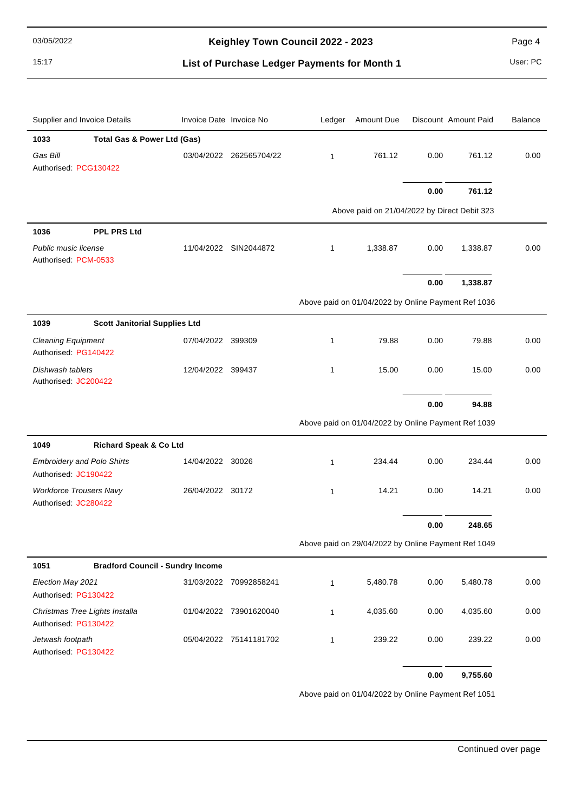15:17 **List of Purchase Ledger Payments for Month 1** User: PC

| Supplier and Invoice Details                              | Invoice Date Invoice No |                         | Ledger       | Amount Due                                          |      | Discount Amount Paid | <b>Balance</b> |
|-----------------------------------------------------------|-------------------------|-------------------------|--------------|-----------------------------------------------------|------|----------------------|----------------|
| 1033<br><b>Total Gas &amp; Power Ltd (Gas)</b>            |                         |                         |              |                                                     |      |                      |                |
| Gas Bill<br>Authorised: PCG130422                         |                         | 03/04/2022 262565704/22 | $\mathbf{1}$ | 761.12                                              | 0.00 | 761.12               | 0.00           |
|                                                           |                         |                         |              |                                                     | 0.00 | 761.12               |                |
|                                                           |                         |                         |              | Above paid on 21/04/2022 by Direct Debit 323        |      |                      |                |
| 1036<br><b>PPL PRS Ltd</b>                                |                         |                         |              |                                                     |      |                      |                |
| Public music license<br>Authorised: PCM-0533              |                         | 11/04/2022 SIN2044872   | 1            | 1,338.87                                            | 0.00 | 1,338.87             | 0.00           |
|                                                           |                         |                         |              |                                                     | 0.00 | 1,338.87             |                |
|                                                           |                         |                         |              | Above paid on 01/04/2022 by Online Payment Ref 1036 |      |                      |                |
| 1039<br><b>Scott Janitorial Supplies Ltd</b>              |                         |                         |              |                                                     |      |                      |                |
| <b>Cleaning Equipment</b><br>Authorised: PG140422         | 07/04/2022 399309       |                         | 1            | 79.88                                               | 0.00 | 79.88                | 0.00           |
| Dishwash tablets<br>Authorised: JC200422                  | 12/04/2022 399437       |                         | $\mathbf{1}$ | 15.00                                               | 0.00 | 15.00                | 0.00           |
|                                                           |                         |                         |              |                                                     | 0.00 | 94.88                |                |
|                                                           |                         |                         |              | Above paid on 01/04/2022 by Online Payment Ref 1039 |      |                      |                |
| 1049<br>Richard Speak & Co Ltd                            |                         |                         |              |                                                     |      |                      |                |
| <b>Embroidery and Polo Shirts</b><br>Authorised: JC190422 | 14/04/2022 30026        |                         | $\mathbf{1}$ | 234.44                                              | 0.00 | 234.44               | 0.00           |
| <b>Workforce Trousers Navy</b><br>Authorised: JC280422    | 26/04/2022 30172        |                         | $\mathbf{1}$ | 14.21                                               | 0.00 | 14.21                | 0.00           |
|                                                           |                         |                         |              |                                                     | 0.00 | 248.65               |                |
|                                                           |                         |                         |              | Above paid on 29/04/2022 by Online Payment Ref 1049 |      |                      |                |
| 1051<br><b>Bradford Council - Sundry Income</b>           |                         |                         |              |                                                     |      |                      |                |
| Election May 2021<br>Authorised: PG130422                 |                         | 31/03/2022 70992858241  | $\mathbf{1}$ | 5,480.78                                            | 0.00 | 5,480.78             | 0.00           |
| Christmas Tree Lights Installa<br>Authorised: PG130422    |                         | 01/04/2022 73901620040  | $\mathbf{1}$ | 4,035.60                                            | 0.00 | 4,035.60             | 0.00           |
| Jetwash footpath<br>Authorised: PG130422                  |                         | 05/04/2022 75141181702  | 1            | 239.22                                              | 0.00 | 239.22               | 0.00           |
|                                                           |                         |                         |              |                                                     | 0.00 | 9,755.60             |                |

Above paid on 01/04/2022 by Online Payment Ref 1051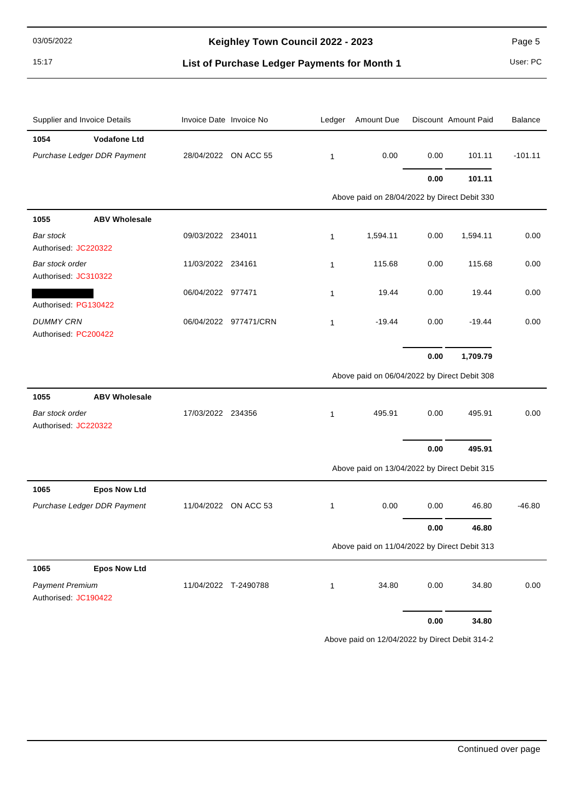15:17 **List of Purchase Ledger Payments for Month 1** User: PC

| Supplier and Invoice Details                   | Invoice Date Invoice No |                       | Ledger       | Amount Due                                   |            | Discount Amount Paid | <b>Balance</b> |
|------------------------------------------------|-------------------------|-----------------------|--------------|----------------------------------------------|------------|----------------------|----------------|
| <b>Vodafone Ltd</b><br>1054                    |                         |                       |              |                                              |            |                      |                |
| Purchase Ledger DDR Payment                    |                         | 28/04/2022 ON ACC 55  | $\mathbf{1}$ | 0.00                                         | 0.00       | 101.11               | $-101.11$      |
|                                                |                         |                       |              |                                              | 0.00       | 101.11               |                |
|                                                |                         |                       |              | Above paid on 28/04/2022 by Direct Debit 330 |            |                      |                |
| <b>ABV Wholesale</b><br>1055                   |                         |                       |              |                                              |            |                      |                |
| Bar stock<br>Authorised: JC220322              | 09/03/2022 234011       |                       | 1            | 1,594.11                                     | 0.00       | 1,594.11             | 0.00           |
| Bar stock order<br>Authorised: JC310322        | 11/03/2022 234161       |                       | $\mathbf{1}$ | 115.68                                       | 0.00       | 115.68               | 0.00           |
| Authorised: PG130422                           | 06/04/2022 977471       |                       | 1            | 19.44                                        | 0.00       | 19.44                | 0.00           |
| <b>DUMMY CRN</b><br>Authorised: PC200422       |                         | 06/04/2022 977471/CRN | 1            | $-19.44$                                     | 0.00       | $-19.44$             | 0.00           |
|                                                |                         |                       |              |                                              | 0.00       | 1,709.79             |                |
|                                                |                         |                       |              | Above paid on 06/04/2022 by Direct Debit 308 |            |                      |                |
| <b>ABV Wholesale</b><br>1055                   |                         |                       |              |                                              |            |                      |                |
| Bar stock order<br>Authorised: JC220322        | 17/03/2022 234356       |                       | 1            | 495.91                                       | 0.00       | 495.91               | 0.00           |
|                                                |                         |                       |              |                                              | $0.00\,$   | 495.91               |                |
|                                                |                         |                       |              | Above paid on 13/04/2022 by Direct Debit 315 |            |                      |                |
| 1065<br><b>Epos Now Ltd</b>                    |                         |                       |              |                                              |            |                      |                |
| Purchase Ledger DDR Payment                    |                         | 11/04/2022 ON ACC 53  | 1            | 0.00                                         | 0.00       | 46.80                | $-46.80$       |
|                                                |                         |                       |              |                                              | 0.00       | 46.80                |                |
|                                                |                         |                       |              | Above paid on 11/04/2022 by Direct Debit 313 |            |                      |                |
| <b>Epos Now Ltd</b><br>1065                    |                         |                       |              |                                              |            |                      |                |
| <b>Payment Premium</b><br>Authorised: JC190422 | 11/04/2022 T-2490788    |                       | $\mathbf{1}$ | 34.80                                        | 0.00       | 34.80                | 0.00           |
|                                                |                         |                       |              |                                              | $\bf 0.00$ | 34.80                |                |

Above paid on 12/04/2022 by Direct Debit 314-2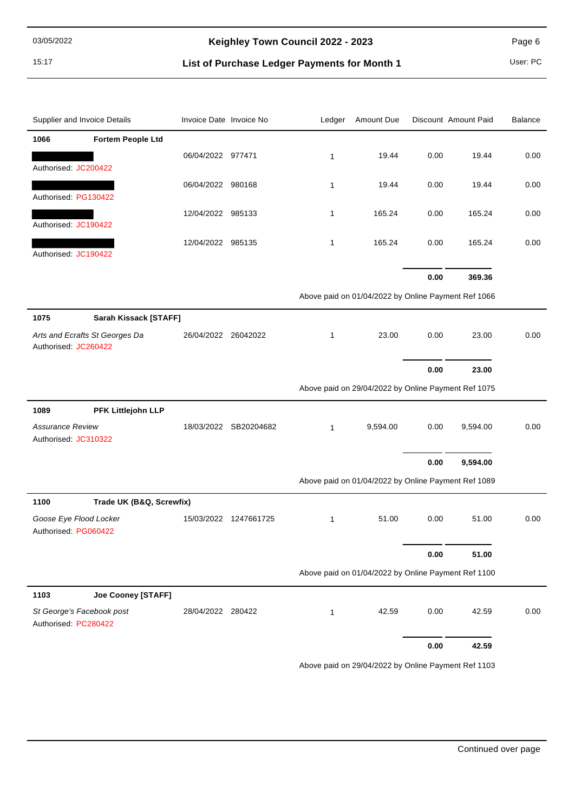15:17 **List of Purchase Ledger Payments for Month 1** User: PC

| Supplier and Invoice Details      | Invoice Date Invoice No |                       | Ledger       | Amount Due                                          |      | Discount Amount Paid | Balance |
|-----------------------------------|-------------------------|-----------------------|--------------|-----------------------------------------------------|------|----------------------|---------|
| 1066<br><b>Fortem People Ltd</b>  |                         |                       |              |                                                     |      |                      |         |
|                                   | 06/04/2022 977471       |                       | $\mathbf{1}$ | 19.44                                               | 0.00 | 19.44                | 0.00    |
| Authorised: JC200422              |                         |                       |              |                                                     |      |                      |         |
| Authorised: PG130422              | 06/04/2022 980168       |                       | $\mathbf{1}$ | 19.44                                               | 0.00 | 19.44                | 0.00    |
|                                   | 12/04/2022 985133       |                       | $\mathbf{1}$ | 165.24                                              | 0.00 | 165.24               | 0.00    |
| Authorised: JC190422              |                         |                       |              |                                                     |      |                      |         |
| Authorised: JC190422              | 12/04/2022 985135       |                       | $\mathbf{1}$ | 165.24                                              | 0.00 | 165.24               | 0.00    |
|                                   |                         |                       |              |                                                     |      |                      |         |
|                                   |                         |                       |              |                                                     | 0.00 | 369.36               |         |
|                                   |                         |                       |              | Above paid on 01/04/2022 by Online Payment Ref 1066 |      |                      |         |
| 1075<br>Sarah Kissack [STAFF]     |                         |                       |              |                                                     |      |                      |         |
| Arts and Ecrafts St Georges Da    | 26/04/2022 26042022     |                       | $\mathbf{1}$ | 23.00                                               | 0.00 | 23.00                | 0.00    |
| Authorised: JC260422              |                         |                       |              |                                                     |      |                      |         |
|                                   |                         |                       |              |                                                     | 0.00 | 23.00                |         |
|                                   |                         |                       |              | Above paid on 29/04/2022 by Online Payment Ref 1075 |      |                      |         |
| 1089<br>PFK Littlejohn LLP        |                         |                       |              |                                                     |      |                      |         |
| <b>Assurance Review</b>           |                         | 18/03/2022 SB20204682 | $\mathbf{1}$ | 9,594.00                                            | 0.00 | 9,594.00             | 0.00    |
| Authorised: JC310322              |                         |                       |              |                                                     |      |                      |         |
|                                   |                         |                       |              |                                                     | 0.00 | 9,594.00             |         |
|                                   |                         |                       |              | Above paid on 01/04/2022 by Online Payment Ref 1089 |      |                      |         |
| 1100<br>Trade UK (B&Q, Screwfix)  |                         |                       |              |                                                     |      |                      |         |
| Goose Eye Flood Locker            |                         | 15/03/2022 1247661725 | $\mathbf{1}$ | 51.00                                               | 0.00 | 51.00                | 0.00    |
| Authorised: PG060422              |                         |                       |              |                                                     |      |                      |         |
|                                   |                         |                       |              |                                                     | 0.00 | 51.00                |         |
|                                   |                         |                       |              | Above paid on 01/04/2022 by Online Payment Ref 1100 |      |                      |         |
| 1103<br><b>Joe Cooney [STAFF]</b> |                         |                       |              |                                                     |      |                      |         |
| St George's Facebook post         | 28/04/2022 280422       |                       | $\mathbf{1}$ | 42.59                                               | 0.00 | 42.59                | 0.00    |
| Authorised: PC280422              |                         |                       |              |                                                     |      |                      |         |
|                                   |                         |                       |              |                                                     | 0.00 | 42.59                |         |
|                                   |                         |                       |              | Above paid on 29/04/2022 by Online Payment Ref 1103 |      |                      |         |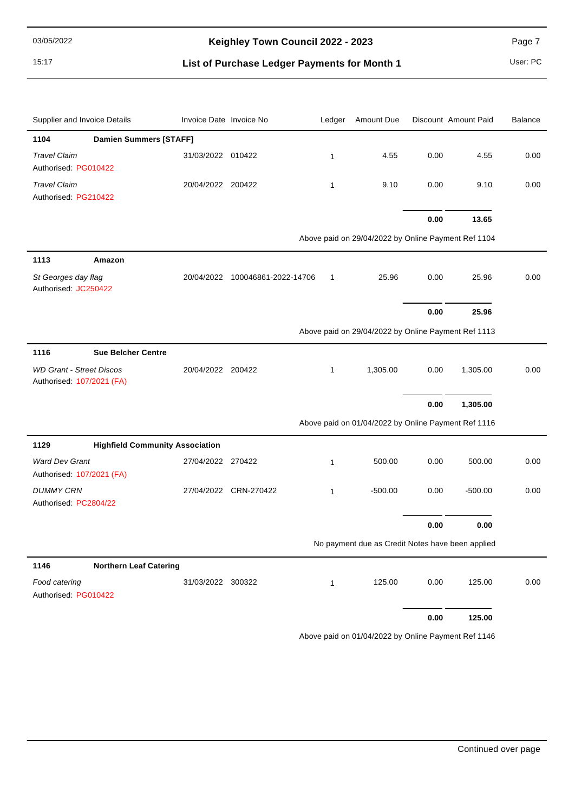15:17 **List of Purchase Ledger Payments for Month 1** User: PC

| Supplier and Invoice Details                                 | Invoice Date Invoice No |                                 | Ledger       | Amount Due                                          |      | Discount Amount Paid | <b>Balance</b> |
|--------------------------------------------------------------|-------------------------|---------------------------------|--------------|-----------------------------------------------------|------|----------------------|----------------|
| <b>Damien Summers [STAFF]</b><br>1104                        |                         |                                 |              |                                                     |      |                      |                |
| <b>Travel Claim</b><br>Authorised: PG010422                  | 31/03/2022 010422       |                                 | $\mathbf{1}$ | 4.55                                                | 0.00 | 4.55                 | 0.00           |
| <b>Travel Claim</b><br>Authorised: PG210422                  | 20/04/2022 200422       |                                 | $\mathbf{1}$ | 9.10                                                | 0.00 | 9.10                 | 0.00           |
|                                                              |                         |                                 |              |                                                     | 0.00 | 13.65                |                |
|                                                              |                         |                                 |              | Above paid on 29/04/2022 by Online Payment Ref 1104 |      |                      |                |
| 1113<br>Amazon                                               |                         |                                 |              |                                                     |      |                      |                |
| St Georges day flag<br>Authorised: JC250422                  |                         | 20/04/2022 100046861-2022-14706 | $\mathbf{1}$ | 25.96                                               | 0.00 | 25.96                | 0.00           |
|                                                              |                         |                                 |              |                                                     | 0.00 | 25.96                |                |
|                                                              |                         |                                 |              | Above paid on 29/04/2022 by Online Payment Ref 1113 |      |                      |                |
| <b>Sue Belcher Centre</b><br>1116                            |                         |                                 |              |                                                     |      |                      |                |
| <b>WD Grant - Street Discos</b><br>Authorised: 107/2021 (FA) | 20/04/2022 200422       |                                 | $\mathbf{1}$ | 1,305.00                                            | 0.00 | 1,305.00             | 0.00           |
|                                                              |                         |                                 |              |                                                     | 0.00 | 1,305.00             |                |
|                                                              |                         |                                 |              | Above paid on 01/04/2022 by Online Payment Ref 1116 |      |                      |                |
| <b>Highfield Community Association</b><br>1129               |                         |                                 |              |                                                     |      |                      |                |
| <b>Ward Dev Grant</b><br>Authorised: 107/2021 (FA)           | 27/04/2022 270422       |                                 | $\mathbf{1}$ | 500.00                                              | 0.00 | 500.00               | 0.00           |
| <b>DUMMY CRN</b><br>Authorised: PC2804/22                    |                         | 27/04/2022 CRN-270422           | $\mathbf{1}$ | $-500.00$                                           | 0.00 | $-500.00$            | 0.00           |
|                                                              |                         |                                 |              |                                                     | 0.00 | 0.00                 |                |
|                                                              |                         |                                 |              | No payment due as Credit Notes have been applied    |      |                      |                |
| 1146<br><b>Northern Leaf Catering</b>                        |                         |                                 |              |                                                     |      |                      |                |
| Food catering<br>Authorised: PG010422                        | 31/03/2022 300322       |                                 | $\mathbf{1}$ | 125.00                                              | 0.00 | 125.00               | 0.00           |
|                                                              |                         |                                 |              |                                                     | 0.00 | 125.00               |                |

Above paid on 01/04/2022 by Online Payment Ref 1146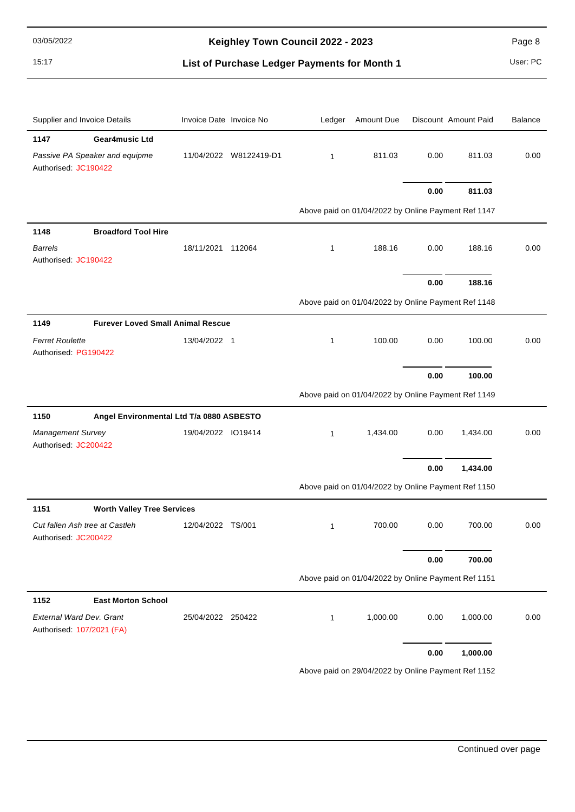15:17 **List of Purchase Ledger Payments for Month 1** User: PC

| Supplier and Invoice Details                                 | Invoice Date Invoice No |                        | Ledger       | Amount Due                                          |      | Discount Amount Paid | <b>Balance</b> |
|--------------------------------------------------------------|-------------------------|------------------------|--------------|-----------------------------------------------------|------|----------------------|----------------|
| 1147<br><b>Gear4music Ltd</b>                                |                         |                        |              |                                                     |      |                      |                |
| Passive PA Speaker and equipme<br>Authorised: JC190422       |                         | 11/04/2022 W8122419-D1 | $\mathbf{1}$ | 811.03                                              | 0.00 | 811.03               | 0.00           |
|                                                              |                         |                        |              |                                                     | 0.00 | 811.03               |                |
|                                                              |                         |                        |              | Above paid on 01/04/2022 by Online Payment Ref 1147 |      |                      |                |
| <b>Broadford Tool Hire</b><br>1148                           |                         |                        |              |                                                     |      |                      |                |
| <b>Barrels</b><br>Authorised: JC190422                       | 18/11/2021 112064       |                        | 1            | 188.16                                              | 0.00 | 188.16               | 0.00           |
|                                                              |                         |                        |              |                                                     | 0.00 | 188.16               |                |
|                                                              |                         |                        |              | Above paid on 01/04/2022 by Online Payment Ref 1148 |      |                      |                |
| <b>Furever Loved Small Animal Rescue</b><br>1149             |                         |                        |              |                                                     |      |                      |                |
| <b>Ferret Roulette</b><br>Authorised: PG190422               | 13/04/2022 1            |                        | 1            | 100.00                                              | 0.00 | 100.00               | 0.00           |
|                                                              |                         |                        |              |                                                     | 0.00 | 100.00               |                |
|                                                              |                         |                        |              | Above paid on 01/04/2022 by Online Payment Ref 1149 |      |                      |                |
| 1150<br>Angel Environmental Ltd T/a 0880 ASBESTO             |                         |                        |              |                                                     |      |                      |                |
| <b>Management Survey</b>                                     | 19/04/2022 IO19414      |                        | $\mathbf{1}$ | 1,434.00                                            | 0.00 | 1,434.00             | 0.00           |
| Authorised: JC200422                                         |                         |                        |              |                                                     |      |                      |                |
|                                                              |                         |                        |              |                                                     | 0.00 | 1,434.00             |                |
|                                                              |                         |                        |              | Above paid on 01/04/2022 by Online Payment Ref 1150 |      |                      |                |
| 1151<br><b>Worth Valley Tree Services</b>                    |                         |                        |              |                                                     |      |                      |                |
| Cut fallen Ash tree at Castleh<br>Authorised: JC200422       | 12/04/2022 TS/001       |                        | $\mathbf{1}$ | 700.00                                              | 0.00 | 700.00               | 0.00           |
|                                                              |                         |                        |              |                                                     | 0.00 | 700.00               |                |
|                                                              |                         |                        |              | Above paid on 01/04/2022 by Online Payment Ref 1151 |      |                      |                |
| <b>East Morton School</b><br>1152                            |                         |                        |              |                                                     |      |                      |                |
| <b>External Ward Dev. Grant</b><br>Authorised: 107/2021 (FA) | 25/04/2022 250422       |                        | $\mathbf{1}$ | 1,000.00                                            | 0.00 | 1,000.00             | 0.00           |
|                                                              |                         |                        |              |                                                     | 0.00 | 1,000.00             |                |
|                                                              |                         |                        |              | Above paid on 29/04/2022 by Online Payment Ref 1152 |      |                      |                |